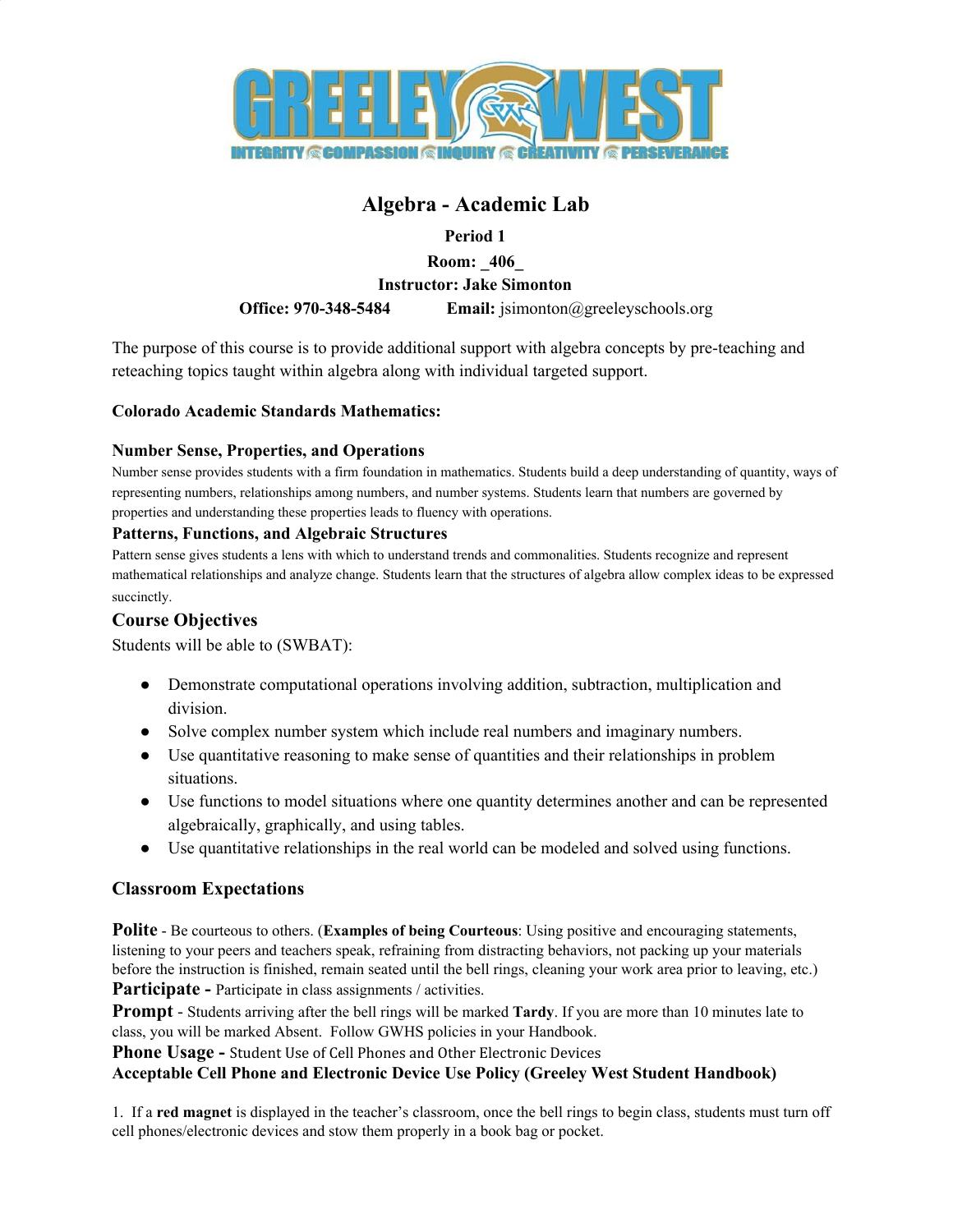

# **Algebra - Academic Lab**

**Period 1**

**Room: \_406\_**

**Instructor: Jake Simonton**

**Office: 970-348-5484 Email:** jsimonton@greeleyschools.org

The purpose of this course is to provide additional support with algebra concepts by pre-teaching and reteaching topics taught within algebra along with individual targeted support.

### **Colorado Academic Standards Mathematics:**

### **Number Sense, Properties, and Operations**

Number sense provides students with a firm foundation in mathematics. Students build a deep understanding of quantity, ways of representing numbers, relationships among numbers, and number systems. Students learn that numbers are governed by properties and understanding these properties leads to fluency with operations.

#### **Patterns, Functions, and Algebraic Structures**

Pattern sense gives students a lens with which to understand trends and commonalities. Students recognize and represent mathematical relationships and analyze change. Students learn that the structures of algebra allow complex ideas to be expressed succinctly.

### **Course Objectives**

Students will be able to (SWBAT):

- Demonstrate computational operations involving addition, subtraction, multiplication and division.
- Solve complex number system which include real numbers and imaginary numbers.
- Use quantitative reasoning to make sense of quantities and their relationships in problem situations.
- Use functions to model situations where one quantity determines another and can be represented algebraically, graphically, and using tables.
- Use quantitative relationships in the real world can be modeled and solved using functions.

### **Classroom Expectations**

**Polite** - Be courteous to others. (**Examples of being Courteous**: Using positive and encouraging statements, listening to your peers and teachers speak, refraining from distracting behaviors, not packing up your materials before the instruction is finished, remain seated until the bell rings, cleaning your work area prior to leaving, etc.) **Participate -** Participate in class assignments / activities.

**Prompt** - Students arriving after the bell rings will be marked **Tardy**. If you are more than 10 minutes late to class, you will be marked Absent. Follow GWHS policies in your Handbook.

**Phone Usage -** Student Use of Cell Phones and Other Electronic Devices

#### **Acceptable Cell Phone and Electronic Device Use Policy (Greeley West Student Handbook)**

1. If a **red magnet** is displayed in the teacher's classroom, once the bell rings to begin class, students must turn off cell phones/electronic devices and stow them properly in a book bag or pocket.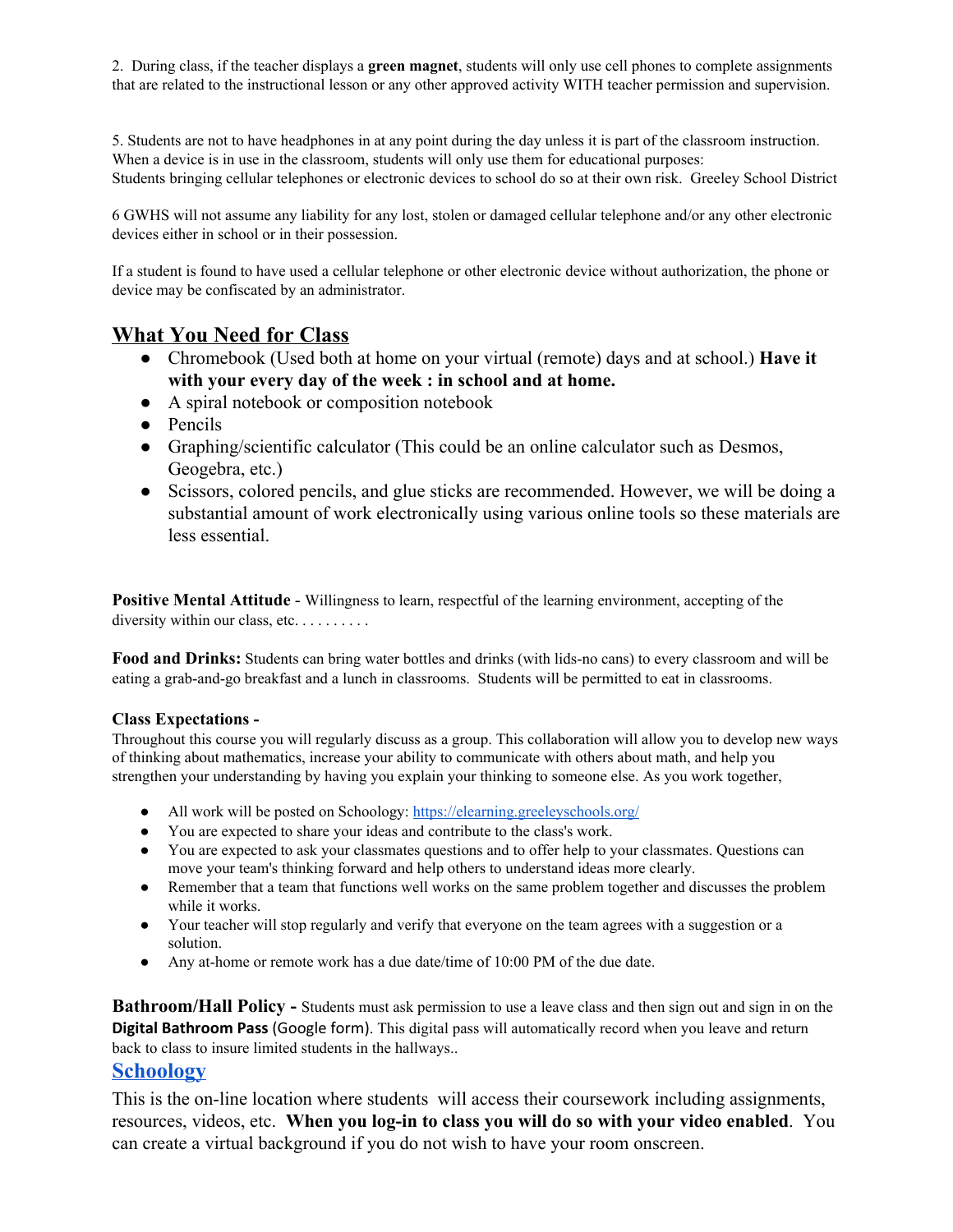2. During class, if the teacher displays a **green magnet**, students will only use cell phones to complete assignments that are related to the instructional lesson or any other approved activity WITH teacher permission and supervision.

5. Students are not to have headphones in at any point during the day unless it is part of the classroom instruction. When a device is in use in the classroom, students will only use them for educational purposes: Students bringing cellular telephones or electronic devices to school do so at their own risk. Greeley School District

6 GWHS will not assume any liability for any lost, stolen or damaged cellular telephone and/or any other electronic devices either in school or in their possession.

If a student is found to have used a cellular telephone or other electronic device without authorization, the phone or device may be confiscated by an administrator.

### **What You Need for Class**

- Chromebook (Used both at home on your virtual (remote) days and at school.) **Have it with your every day of the week : in school and at home.**
- A spiral notebook or composition notebook
- Pencils
- Graphing/scientific calculator (This could be an online calculator such as Desmos, Geogebra, etc.)
- Scissors, colored pencils, and glue sticks are recommended. However, we will be doing a substantial amount of work electronically using various online tools so these materials are less essential.

**Positive Mental Attitude** - Willingness to learn, respectful of the learning environment, accepting of the diversity within our class, etc. . . . . . . . . .

**Food and Drinks:** Students can bring water bottles and drinks (with lids-no cans) to every classroom and will be eating a grab-and-go breakfast and a lunch in classrooms. Students will be permitted to eat in classrooms.

#### **Class Expectations -**

Throughout this course you will regularly discuss as a group. This collaboration will allow you to develop new ways of thinking about mathematics, increase your ability to communicate with others about math, and help you strengthen your understanding by having you explain your thinking to someone else. As you work together,

- All work will be posted on Schoology: <https://elearning.greeleyschools.org/>
- You are expected to share your ideas and contribute to the class's work.
- You are expected to ask your classmates questions and to offer help to your classmates. Ouestions can move your team's thinking forward and help others to understand ideas more clearly.
- Remember that a team that functions well works on the same problem together and discusses the problem while it works.
- Your teacher will stop regularly and verify that everyone on the team agrees with a suggestion or a solution.
- Any at-home or remote work has a due date/time of 10:00 PM of the due date.

**Bathroom/Hall Policy -** Students must ask permission to use a leave class and then sign out and sign in on the **Digital Bathroom Pass** (Google form). This digital pass will automatically record when you leave and return back to class to insure limited students in the hallways..

#### **[Schoology](https://elearning.greeleyschools.org/home#/?_k=wbgny7)**

This is the on-line location where students will access their coursework including assignments, resources, videos, etc. **When you log-in to class you will do so with your video enabled**. You can create a virtual background if you do not wish to have your room onscreen.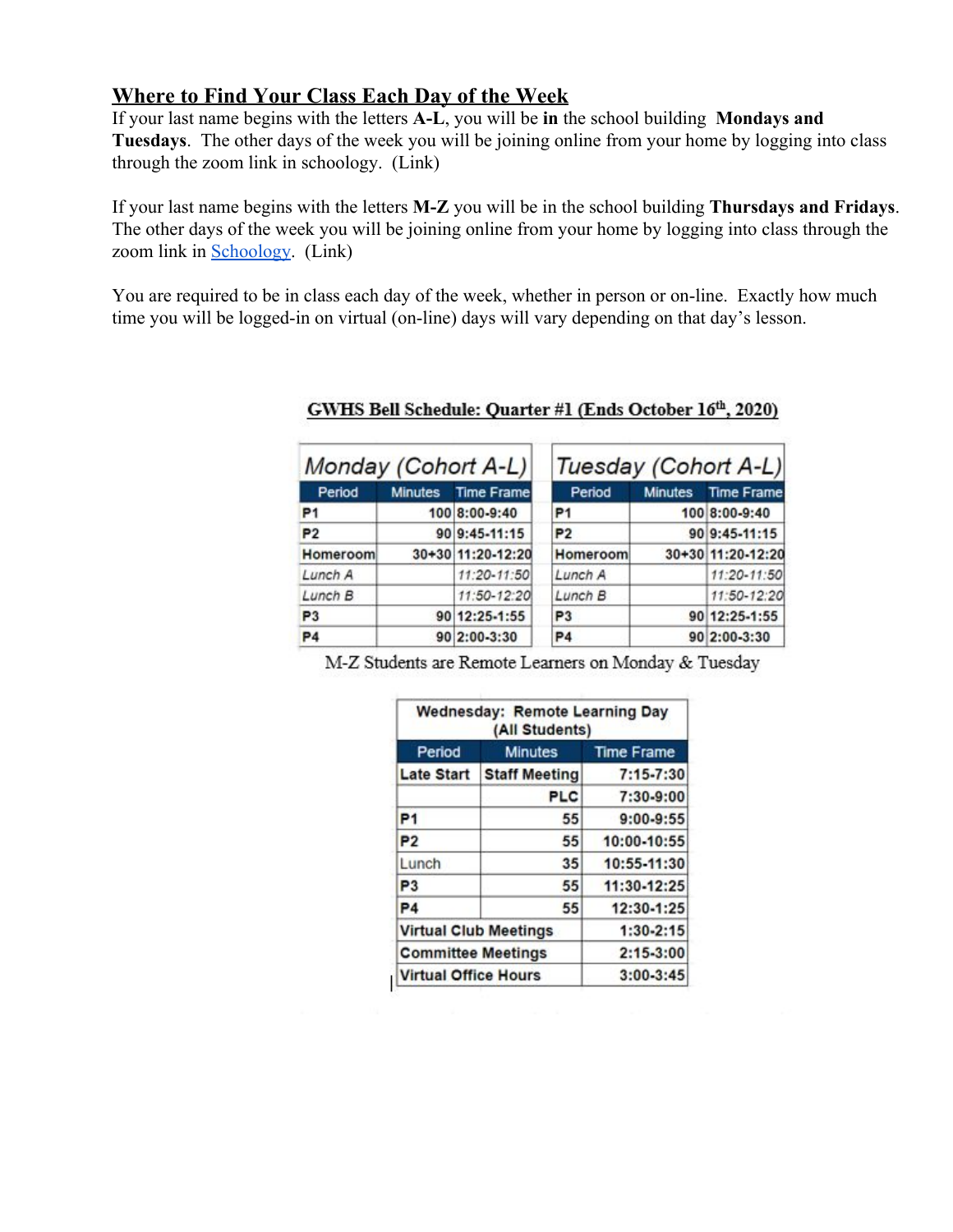## **Where to Find Your Class Each Day of the Week**

If your last name begins with the letters **A-L**, you will be **in** the school building **Mondays and Tuesdays**. The other days of the week you will be joining online from your home by logging into class through the zoom link in schoology. (Link)

If your last name begins with the letters **M-Z** you will be in the school building **Thursdays and Fridays**. The other days of the week you will be joining online from your home by logging into class through the zoom link in [Schoology.](https://elearning.greeleyschools.org/home#/?_k=wbgny7) (Link)

You are required to be in class each day of the week, whether in person or on-line. Exactly how much time you will be logged-in on virtual (on-line) days will vary depending on that day's lesson.

| Monday (Cohort A-L) |                |                   | Tuesday (Cohort A-L) |                |                   |
|---------------------|----------------|-------------------|----------------------|----------------|-------------------|
| Period              | <b>Minutes</b> | <b>Time Frame</b> | Period               | <b>Minutes</b> | <b>Time Frame</b> |
| P <sub>1</sub>      |                | 100 8:00-9:40     | P1                   |                | 100 8:00-9:40     |
| P <sub>2</sub>      |                | 90 9:45-11:15     | P <sub>2</sub>       |                | 90 9:45-11:15     |
| Homeroom            |                | 30+30 11:20-12:20 | Homeroom             |                | 30+30 11:20-12:20 |
| Lunch A             |                | 11:20-11:50       | Lunch A              |                | 11:20-11:50       |
| Lunch B             |                | 11:50-12:20       | Lunch B              |                | 11:50-12:20       |
| P <sub>3</sub>      |                | 90 12:25-1:55     | P <sub>3</sub>       |                | 90 12:25-1:55     |
| <b>P4</b>           |                | 90 2:00-3:30      | P <sub>4</sub>       |                | 90 2:00-3:30      |

### GWHS Bell Schedule: Quarter #1 (Ends October 16th, 2020)

M-Z Students are Remote Learners on Monday & Tuesday

| (All Students)               |                      |                   |  |  |  |
|------------------------------|----------------------|-------------------|--|--|--|
| Period                       | <b>Minutes</b>       | <b>Time Frame</b> |  |  |  |
| <b>Late Start</b>            | <b>Staff Meeting</b> | 7:15-7:30         |  |  |  |
|                              | <b>PLC</b>           | 7:30-9:00         |  |  |  |
| P <sub>1</sub>               | 55                   | $9:00 - 9:55$     |  |  |  |
| P <sub>2</sub>               | 55                   | 10:00-10:55       |  |  |  |
| Lunch                        | 35                   | 10:55-11:30       |  |  |  |
| P3                           | 55                   | 11:30-12:25       |  |  |  |
| P4                           | 55                   | 12:30-1:25        |  |  |  |
| <b>Virtual Club Meetings</b> | 1:30-2:15            |                   |  |  |  |
| <b>Committee Meetings</b>    |                      | $2:15-3:00$       |  |  |  |
| Virtual Office Hours         | $3:00 - 3:45$        |                   |  |  |  |